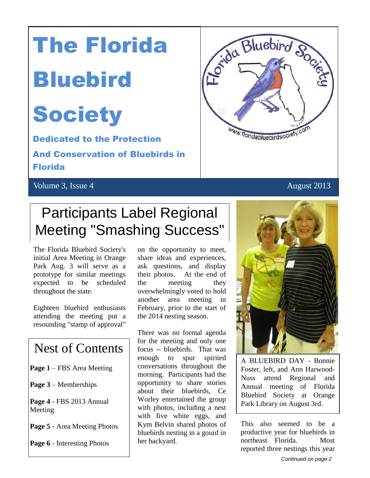# The Florida

## **Bluebird**

## **Society**

 Dedicated to the Protection And Conservation of Bluebirds in

Florida

#### Volume 3, Issue 4 August 2013



## Participants Label Regional Meeting "Smashing Success"

The Florida Bluebird Society's initial Area Meeting in Orange Park Aug. 3 will serve as a prototype for similar meetings expected to be scheduled throughout the state.

Eighteen bluebird enthusiasts attending the meeting put a resounding "stamp of approval"

### Nest of Contents

**Page 1** – FBS Area Meeting

**Page 3** – Memberships

**Page 4** - FBS 2013 Annual Meeting

**Page 5** - Area Meeting Photos

**Page 6** - Interesting Photos

on the opportunity to meet, share ideas and experiences, ask questions, and display their photos. At the end of the meeting they overwhelmingly voted to hold another area meeting in February, prior to the start of the 2014 nesting season.

There was no formal agenda for the meeting and only one focus -- bluebirds. That was enough to spur spirited conversations throughout the morning. Participants had the opportunity to share stories about their bluebirds, Ce Worley entertained the group with photos, including a nest with five white eggs, and Kym Belvin shared photos of bluebirds nesting in a gourd in her backyard.



A BLUEBIRD DAY - Bonnie Foster, left, and Ann Harwood-Nuss attend Regional and Annual meeting of Florida Bluebird Society at Orange Park Library on August 3rd.

This also seemed to be a productive year for bluebirds in northeast Florida. Most reported three nestings this year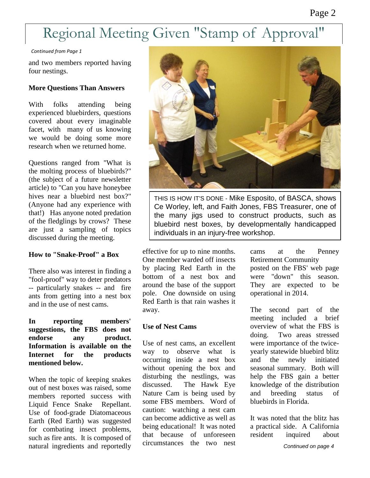## Regional Meeting Given "Stamp of Approval"

*Continued from Page 1*

and two members reported having four nestings.

#### **More Questions Than Answers**

With folks attending being experienced bluebirders, questions covered about every imaginable facet, with many of us knowing we would be doing some more research when we returned home.

 article) to "Can you have honeybee (Anyone had any experience with Questions ranged from "What is the molting process of bluebirds?" (the subject of a future newsletter hives near a bluebird nest box?" that!) Has anyone noted predation of the fledglings by crows? These are just a sampling of topics discussed during the meeting.

#### **How to "Snake-Proof" a Box**

There also was interest in finding a "fool-proof" way to deter predators -- particularly snakes -- and fire ants from getting into a nest box and in the use of nest cams.

#### **In reporting members' suggestions, the FBS does not endorse any product. Information is available on the Internet for the products mentioned below.**

When the topic of keeping snakes out of nest boxes was raised, some members reported success with Liquid Fence Snake Repellant. Use of food-grade Diatomaceous Earth (Red Earth) was suggested for combating insect problems, such as fire ants. It is composed of natural ingredients and reportedly



THIS IS HOW IT'S DONE - Mike Esposito, of BASCA, shows Ce Worley, left, and Faith Jones, FBS Treasurer, one of the many jigs used to construct products, such as bluebird nest boxes, by developmentally handicapped individuals in an injury-free workshop.

effective for up to nine months. One member warded off insects by placing Red Earth in the bottom of a nest box and around the base of the support pole. One downside on using Red Earth is that rain washes it away.

#### **Use of Nest Cams**

Use of nest cams, an excellent way to observe what is occurring inside a nest box without opening the box and disturbing the nestlings, was discussed. The Hawk Eye Nature Cam is being used by some FBS members. Word of caution: watching a nest cam can become addictive as well as being educational! It was noted that because of unforeseen circumstances the two nest cams at the Penney Retirement Community posted on the FBS' web page were "down" this season. They are expected to be operational in 2014.

The second part of the meeting included a brief overview of what the FBS is doing. Two areas stressed were importance of the twiceyearly statewide bluebird blitz and the newly initiated seasonal summary. Both will help the FBS gain a better knowledge of the distribution and breeding status of bluebirds in Florida.

It was noted that the blitz has a practical side. A California resident inquired about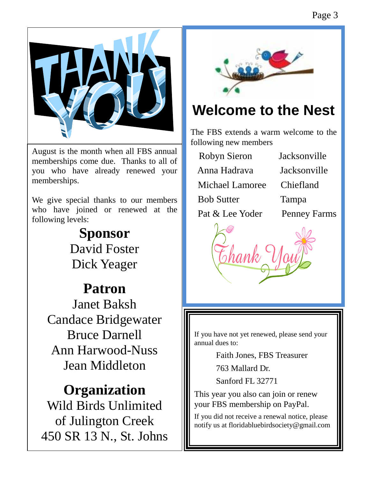Page 3



August is the month when all FBS annual memberships come due. Thanks to all of you who have already renewed your memberships.

We give special thanks to our members who have joined or renewed at the following levels:

## **Sponsor** David Foster Dick Yeager

## **Patron**

Janet Baksh Candace Bridgewater Bruce Darnell Ann Harwood-Nuss Jean Middleton

**Organization** Wild Birds Unlimited of Julington Creek 450 SR 13 N., St. Johns

I



## **Welcome to the Nest**

The FBS extends a warm welcome to the following new members

| Robyn Sieron                                                      | Jacksonville                                                       |
|-------------------------------------------------------------------|--------------------------------------------------------------------|
| Anna Hadrava                                                      | Jacksonville                                                       |
| <b>Michael Lamoree</b>                                            | Chiefland                                                          |
| <b>Bob Sutter</b>                                                 | Tampa                                                              |
| $D_{\alpha}$ $\ell$ $\ell$ $I_{\alpha}$ $N_{\alpha}$ $d_{\alpha}$ | $D_{\alpha\beta\gamma\delta\gamma\delta\gamma}E_{\alpha\mu\sigma}$ |

Pat & Lee Yoder Penney Farms



If you have not yet renewed, please send your annual dues to:

Faith Jones, FBS Treasurer

763 Mallard Dr.

Sanford FL 32771

This year you also can join or renew your FBS membership on PayPal.

If you did not receive a renewal notice, please notify us at floridabluebirdsociety@gmail.com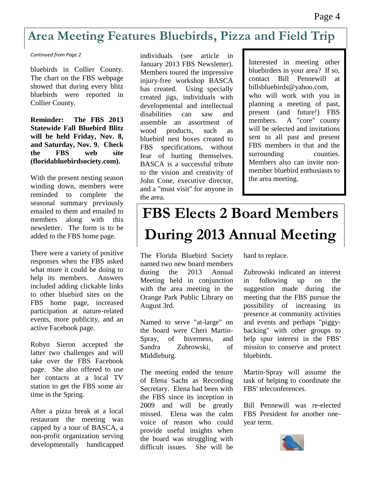### **Area Meeting Features Bluebirds, Pizza and Field Trip**

#### *Continued from Page 2*

bluebirds in Collier County. The chart on the FBS webpage showed that during every blitz bluebirds were reported in Collier County.

**Reminder: The FBS 2013 Statewide Fall Bluebird Blitz will be held Friday, Nov. 8, and Saturday, Nov. 9. Check the FBS web site (floridabluebirdsociety.com).**

With the present nesting season winding down, members were reminded to complete the seasonal summary previously emailed to them and emailed to members along with this newsletter. The form is to be added to the FBS home page.

There were a variety of positive responses when the FBS asked what more it could be doing to help its members. Answers included adding clickable links to other bluebird sites on the FBS home page, increased participation at nature-related events, more publicity, and an active Facebook page.

Robyn Sieron accepted the latter two challenges and will take over the FBS Facebook page. She also offered to use her contacts at a local TV station to get the FBS some air time in the Spring.

After a pizza break at a local restaurant the meeting was capped by a tour of BASCA, a non-profit organization serving developmentally handicapped

individuals (see article in January 2013 FBS Newsletter). Members toured the impressive injury-free workshop BASCA has created. Using specially created jigs, individuals with developmental and intellectual disabilities can saw and assemble an assortment of wood products, such as bluebird nest boxes created to FBS specifications, without fear of hurting themselves. BASCA is a successful tribute to the vision and creativity of John Cone, executive director, and a "must visit" for anyone in the area.

Interested in meeting other bluebirders in your area? If so, contact Bill Pennewill at billsbluebirds@yahoo.com, who will work with you in planning a meeting of past, present (and future!) FBS members. A "core" county will be selected and invitations sent to all past and present FBS members in that and the surrounding counties. Members also can invite nonmember bluebird enthusiasts to the area meeting.

## **FBS Elects 2 Board Members During 2013 Annual Meeting**

The Florida Bluebird Society named two new board members during the 2013 Annual Meeting held in conjunction with the area meeting in the Orange Park Public Library on August 3rd.

Named to serve "at-large" on the board were Cheri Martin-Spray, of Inverness, and Sandra Zubrowski, of Middleburg.

The meeting ended the tenure of Elena Sachs as Recording Secretary. Elena had been with the FBS since its inception in 2009 and will be greatly missed. Elena was the calm voice of reason who could provide useful insights when the board was struggling with difficult issues. She will be

hard to replace.

Zubrowski indicated an interest in following up on the suggestion made during the meeting that the FBS pursue the possibility of increasing its presence at community activities and events and perhaps "piggybacking" with other groups to help spur interest in the FBS' mission to conserve and protect bluebirds.

Martin-Spray will assume the task of helping to coordinate the FBS' teleconferences.

Bill Pennewill was re-elected FBS President for another oneyear term.

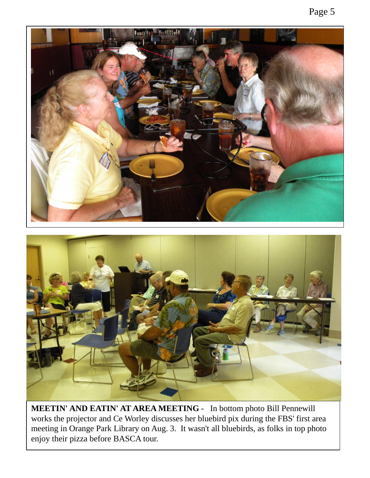

**MEETIN' AND EATIN' AT AREA MEETING** - In bottom photo Bill Pennewill works the projector and Ce Worley discusses her bluebird pix during the FBS' first area meeting in Orange Park Library on Aug. 3. It wasn't all bluebirds, as folks in top photo enjoy their pizza before BASCA tour.

#### Page 5